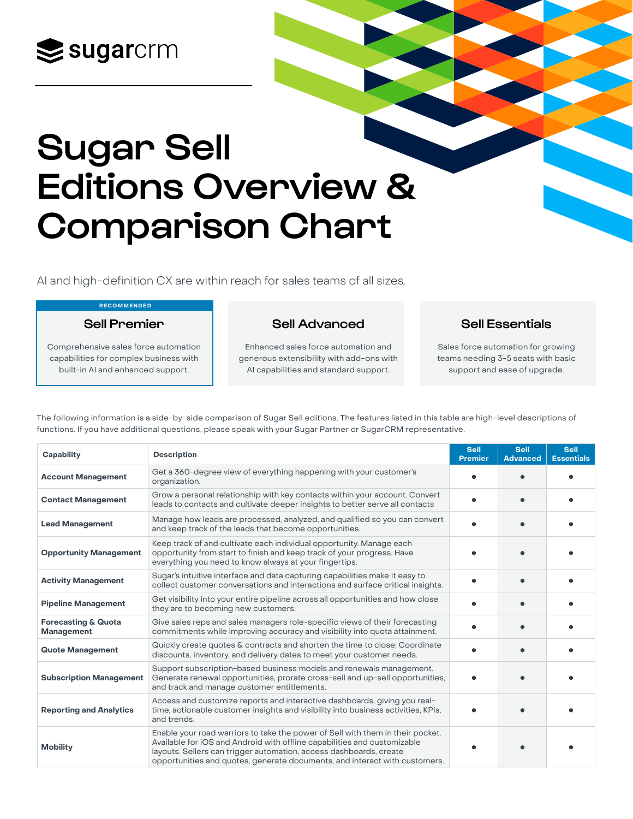

## Sugar Sell Editions Overview & Comparison Chart

AI and high-definition CX are within reach for sales teams of all sizes.

## RECOMMENDED

Sell Premier

Sell Advanced

Comprehensive sales force automation capabilities for complex business with built-in AI and enhanced support.

Enhanced sales force automation and generous extensibility with add-ons with AI capabilities and standard support.

Sell Essentials

Sales force automation for growing teams needing 3-5 seats with basic support and ease of upgrade.

The following information is a side-by-side comparison of Sugar Sell editions. The features listed in this table are high-level descriptions of functions. If you have additional questions, please speak with your Sugar Partner or SugarCRM representative.

| Capability                                   | <b>Description</b>                                                                                                                                                                                                                                                                                             | <b>Sell</b><br><b>Premier</b> | <b>Sell</b><br><b>Advanced</b> | <b>Sell</b><br><b>Essentials</b> |
|----------------------------------------------|----------------------------------------------------------------------------------------------------------------------------------------------------------------------------------------------------------------------------------------------------------------------------------------------------------------|-------------------------------|--------------------------------|----------------------------------|
| <b>Account Management</b>                    | Get a 360-degree view of everything happening with your customer's<br>organization.                                                                                                                                                                                                                            |                               |                                |                                  |
| <b>Contact Management</b>                    | Grow a personal relationship with key contacts within your account. Convert<br>leads to contacts and cultivate deeper insights to better serve all contacts                                                                                                                                                    |                               |                                |                                  |
| <b>Lead Management</b>                       | Manage how leads are processed, analyzed, and qualified so you can convert<br>and keep track of the leads that become opportunities.                                                                                                                                                                           |                               |                                |                                  |
| <b>Opportunity Management</b>                | Keep track of and cultivate each individual opportunity. Manage each<br>opportunity from start to finish and keep track of your progress. Have<br>everything you need to know always at your fingertips.                                                                                                       |                               |                                |                                  |
| <b>Activity Management</b>                   | Sugar's intuitive interface and data capturing capabilities make it easy to<br>collect customer conversations and interactions and surface critical insights.                                                                                                                                                  |                               |                                |                                  |
| <b>Pipeline Management</b>                   | Get visibility into your entire pipeline across all opportunities and how close<br>they are to becoming new customers.                                                                                                                                                                                         | ۰                             |                                |                                  |
| <b>Forecasting &amp; Quota</b><br>Management | Give sales reps and sales managers role-specific views of their forecasting<br>commitments while improving accuracy and visibility into quota attainment.                                                                                                                                                      |                               |                                |                                  |
| <b>Quote Management</b>                      | Quickly create quotes & contracts and shorten the time to close; Coordinate<br>discounts, inventory, and delivery dates to meet your customer needs.                                                                                                                                                           |                               |                                |                                  |
| <b>Subscription Management</b>               | Support subscription-based business models and renewals management.<br>Generate renewal opportunities, prorate cross-sell and up-sell opportunities,<br>and track and manage customer entitlements.                                                                                                            |                               |                                |                                  |
| <b>Reporting and Analytics</b>               | Access and customize reports and interactive dashboards, giving you real-<br>time, actionable customer insights and visibility into business activities, KPIs,<br>and trends.                                                                                                                                  |                               |                                |                                  |
| <b>Mobility</b>                              | Enable your road warriors to take the power of Sell with them in their pocket.<br>Available for iOS and Android with offline capabilities and customizable<br>layouts. Sellers can trigger automation, access dashboards, create<br>opportunities and quotes, generate documents, and interact with customers. |                               |                                |                                  |